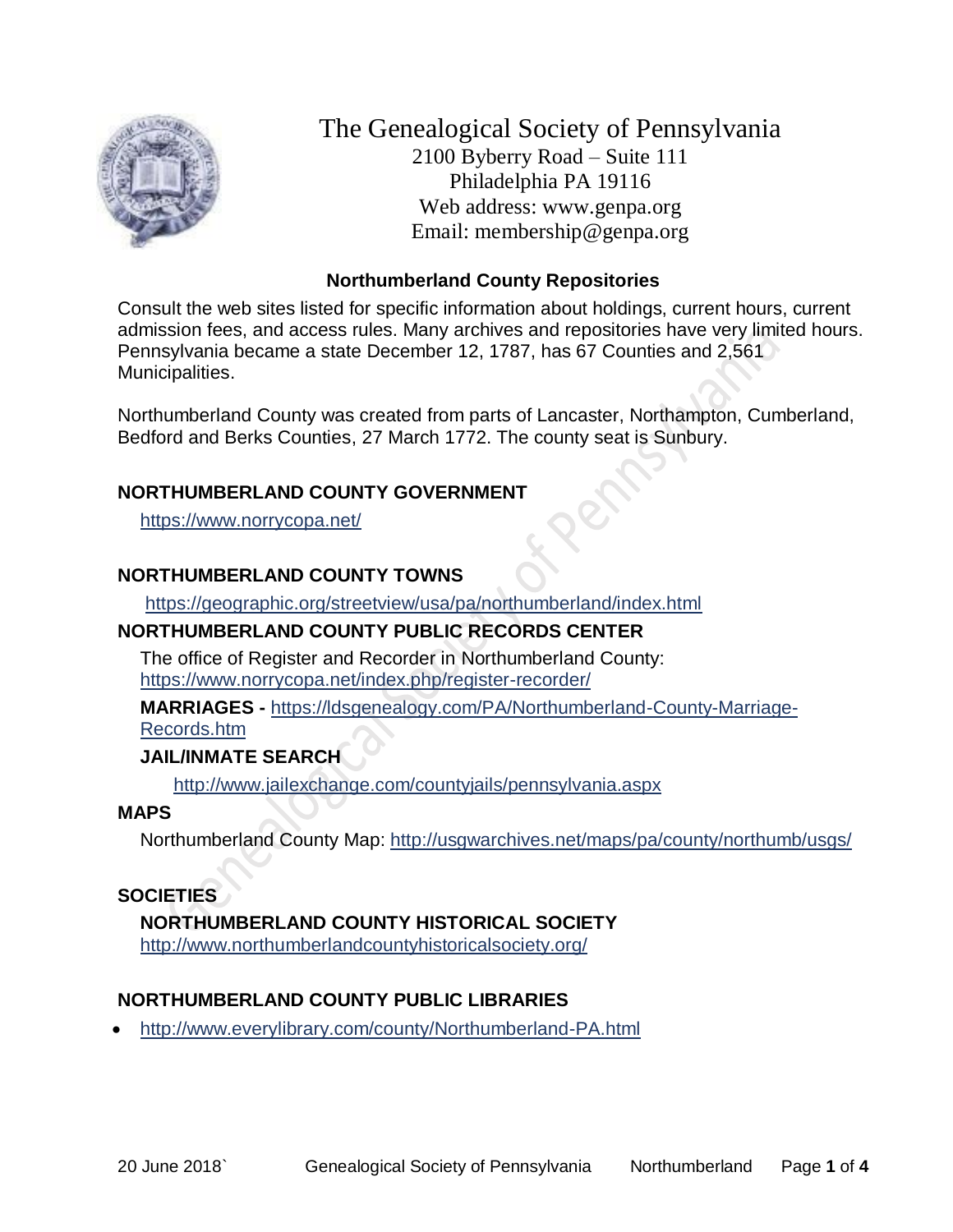

The Genealogical Society of Pennsylvania 2100 Byberry Road – Suite 111 Philadelphia PA 19116 Web address: www.genpa.org Email: membership@genpa.org

#### **Northumberland County Repositories**

Consult the web sites listed for specific information about holdings, current hours, current admission fees, and access rules. Many archives and repositories have very limited hours. Pennsylvania became a state December 12, 1787, has 67 Counties and 2,561 Municipalities.

Northumberland County was created from parts of Lancaster, Northampton, Cumberland, Bedford and Berks Counties, 27 March 1772. The county seat is Sunbury.

### **NORTHUMBERLAND COUNTY GOVERNMENT**

<https://www.norrycopa.net/>

### **NORTHUMBERLAND COUNTY TOWNS**

<https://geographic.org/streetview/usa/pa/northumberland/index.html>

#### **NORTHUMBERLAND COUNTY PUBLIC RECORDS CENTER**

The office of Register and Recorder in Northumberland County: <https://www.norrycopa.net/index.php/register-recorder/>

**MARRIAGES -** [https://ldsgenealogy.com/PA/Northumberland-County-Marriage-](https://ldsgenealogy.com/PA/Northumberland-County-Marriage-Records.htm)

[Records.htm](https://ldsgenealogy.com/PA/Northumberland-County-Marriage-Records.htm)

# **JAIL/INMATE SEARCH**

<http://www.jailexchange.com/countyjails/pennsylvania.aspx>

#### **MAPS**

Northumberland County Map:<http://usgwarchives.net/maps/pa/county/northumb/usgs/>

#### **SOCIETIES**

**NORTHUMBERLAND COUNTY HISTORICAL SOCIETY** <http://www.northumberlandcountyhistoricalsociety.org/>

# **NORTHUMBERLAND COUNTY PUBLIC LIBRARIES**

• <http://www.everylibrary.com/county/Northumberland-PA.html>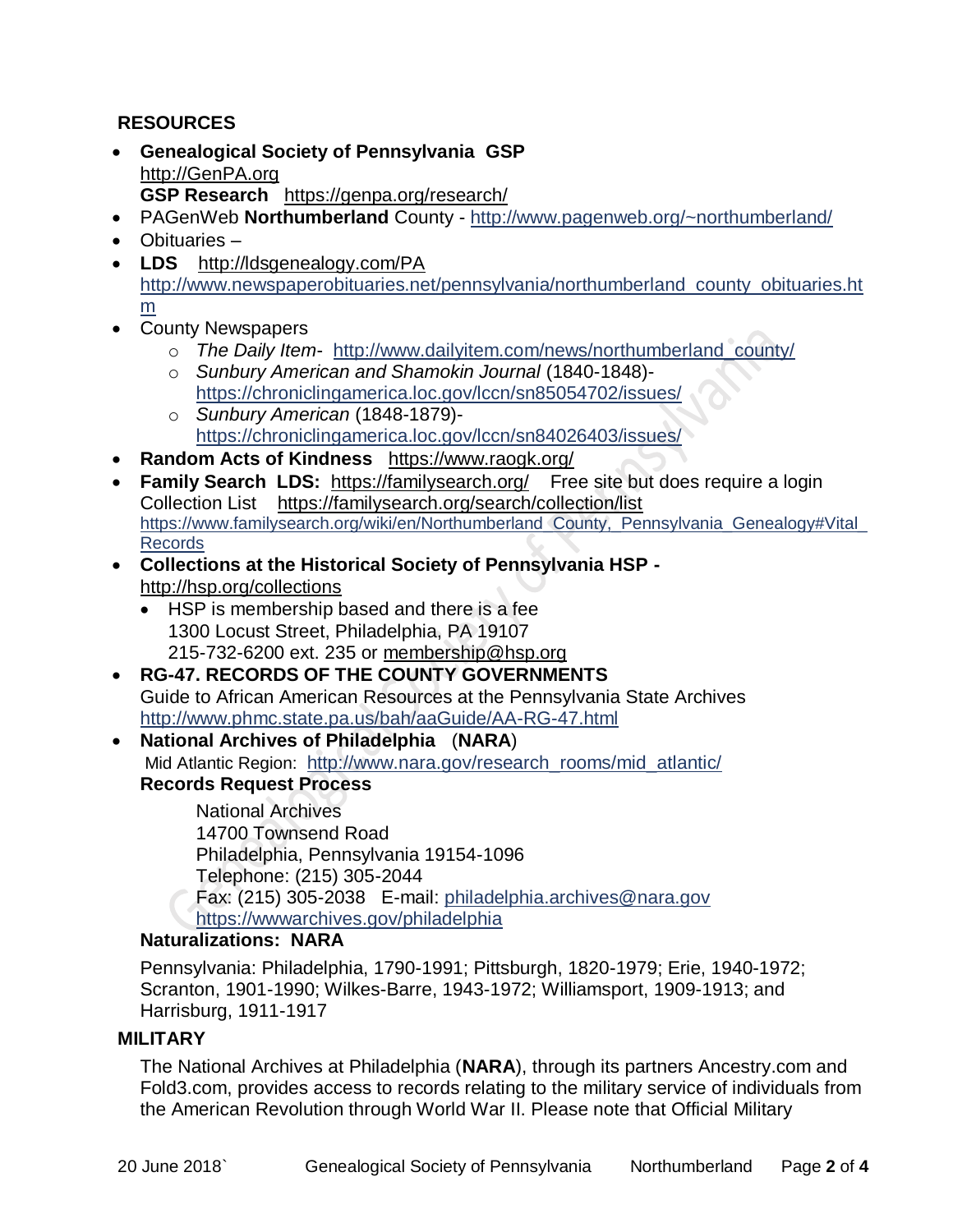### **RESOURCES**

- **Genealogical Society of Pennsylvania GSP** [http://GenPA.org](http://genpa.org/) **GSP Research** <https://genpa.org/research/>
- PAGenWeb **Northumberland** County <http://www.pagenweb.org/~northumberland/>
- Obituaries –
- **LDS** <http://ldsgenealogy.com/PA> [http://www.newspaperobituaries.net/pennsylvania/northumberland\\_county\\_obituaries.ht](http://www.newspaperobituaries.net/pennsylvania/northumberland_county_obituaries.htm) [m](http://www.newspaperobituaries.net/pennsylvania/northumberland_county_obituaries.htm)
- County Newspapers
	- o *The Daily Item* [http://www.dailyitem.com/news/northumberland\\_county/](http://www.dailyitem.com/news/northumberland_county/)
	- o *Sunbury American and Shamokin Journal* (1840-1848) <https://chroniclingamerica.loc.gov/lccn/sn85054702/issues/>
	- o *Sunbury American* (1848-1879) <https://chroniclingamerica.loc.gov/lccn/sn84026403/issues/>
- **Random Acts of Kindness** <https://www.raogk.org/>
- **Family Search LDS:** <https://familysearch.org/>Free site but does require a login Collection List <https://familysearch.org/search/collection/list>
- [https://www.familysearch.org/wiki/en/Northumberland\\_County,\\_Pennsylvania\\_Genealogy#Vital\\_](https://www.familysearch.org/wiki/en/Northumberland_County,_Pennsylvania_Genealogy%23Vital_Records) [Records](https://www.familysearch.org/wiki/en/Northumberland_County,_Pennsylvania_Genealogy%23Vital_Records)
- **Collections at the Historical Society of Pennsylvania HSP**  <http://hsp.org/collections>
	- HSP is membership based and there is a fee 1300 Locust Street, Philadelphia, PA 19107 215-732-6200 ext. 235 or [membership@hsp.org](mailto:membership@hsp.org)
- **RG-47. RECORDS OF THE COUNTY GOVERNMENTS** Guide to African American Resources at the Pennsylvania State Archives <http://www.phmc.state.pa.us/bah/aaGuide/AA-RG-47.html>
- **National Archives of Philadelphia** (**NARA**) Mid Atlantic Region: [http://www.nara.gov/research\\_rooms/mid\\_atlantic/](http://www.nara.gov/research_rooms/mid_atlantic/) **Records Request Process**

National Archives 14700 Townsend Road Philadelphia, Pennsylvania 19154-1096 Telephone: (215) 305-2044 Fax: (215) 305-2038 E-mail: [philadelphia.archives@nara.gov](mailto:philadelphia.archives@nara.gov)

<https://wwwarchives.gov/philadelphia>

#### **Naturalizations: NARA**

Pennsylvania: Philadelphia, 1790-1991; Pittsburgh, 1820-1979; Erie, 1940-1972; Scranton, 1901-1990; Wilkes-Barre, 1943-1972; Williamsport, 1909-1913; and Harrisburg, 1911-1917

#### **MILITARY**

The National Archives at Philadelphia (**NARA**), through its partners Ancestry.com and Fold3.com, provides access to records relating to the military service of individuals from the American Revolution through World War II. Please note that Official Military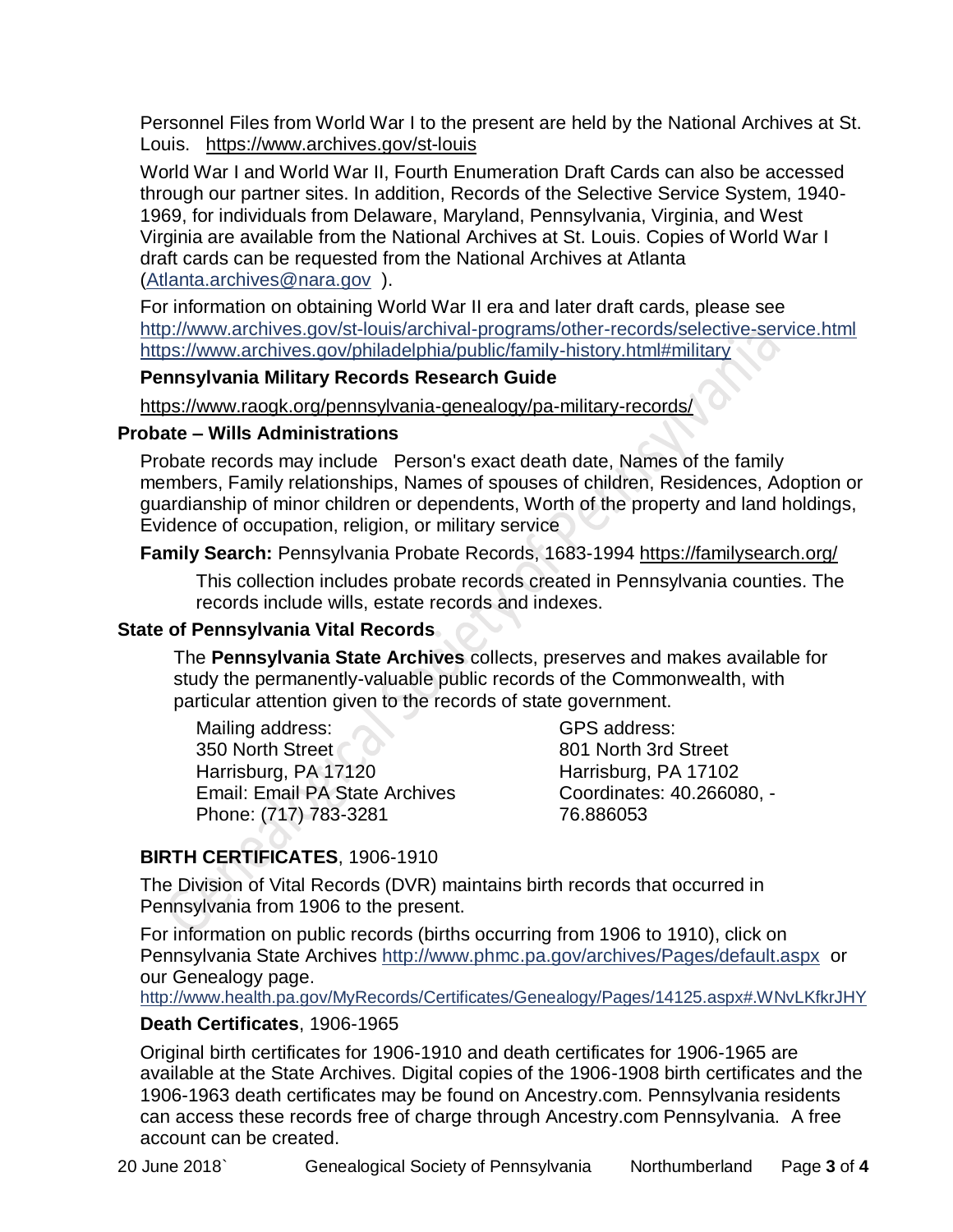Personnel Files from World War I to the present are held by the National Archives at St. Louis. <https://www.archives.gov/st-louis>

World War I and World War II, Fourth Enumeration Draft Cards can also be accessed through our partner sites. In addition, Records of the Selective Service System, 1940- 1969, for individuals from Delaware, Maryland, Pennsylvania, Virginia, and West Virginia are available from the National Archives at St. Louis. Copies of World War I draft cards can be requested from the National Archives at Atlanta [\(Atlanta.archives@nara.gov](mailto:Atlanta.archives@nara.gov) ).

For information on obtaining World War II era and later draft cards, please see <http://www.archives.gov/st-louis/archival-programs/other-records/selective-service.html> <https://www.archives.gov/philadelphia/public/family-history.html#military>

#### **Pennsylvania Military Records Research Guide**

<https://www.raogk.org/pennsylvania-genealogy/pa-military-records/>

#### **Probate – Wills Administrations**

Probate records may include Person's exact death date, Names of the family members, Family relationships, Names of spouses of children, Residences, Adoption or guardianship of minor children or dependents, Worth of the property and land holdings, Evidence of occupation, religion, or military service

**Family Search:** Pennsylvania Probate Records, 1683-1994 <https://familysearch.org/>

This collection includes probate records created in Pennsylvania counties. The records include wills, estate records and indexes.

#### **State of Pennsylvania Vital Records**

The **Pennsylvania State Archives** collects, preserves and makes available for study the permanently-valuable public records of the Commonwealth, with particular attention given to the records of state government.

Mailing address: 350 North Street Harrisburg, PA 17120 Email: Email PA State Archives Phone: (717) 783-3281

GPS address: 801 North 3rd Street Harrisburg, PA 17102 Coordinates: 40.266080, - 76.886053

# **BIRTH CERTIFICATES**, 1906-1910

The Division of Vital Records (DVR) maintains birth records that occurred in Pennsylvania from 1906 to the present.

For information on public records (births occurring from 1906 to 1910), click on Pennsylvania State Archives <http://www.phmc.pa.gov/archives/Pages/default.aspx>or our Genealogy page.

<http://www.health.pa.gov/MyRecords/Certificates/Genealogy/Pages/14125.aspx#.WNvLKfkrJHY>

# **Death Certificates**, 1906-1965

Original birth certificates for 1906-1910 and death certificates for 1906-1965 are available at the State Archives. Digital copies of the 1906-1908 birth certificates and the 1906-1963 death certificates may be found on Ancestry.com. Pennsylvania residents can access these records free of charge through Ancestry.com Pennsylvania. A free account can be created.